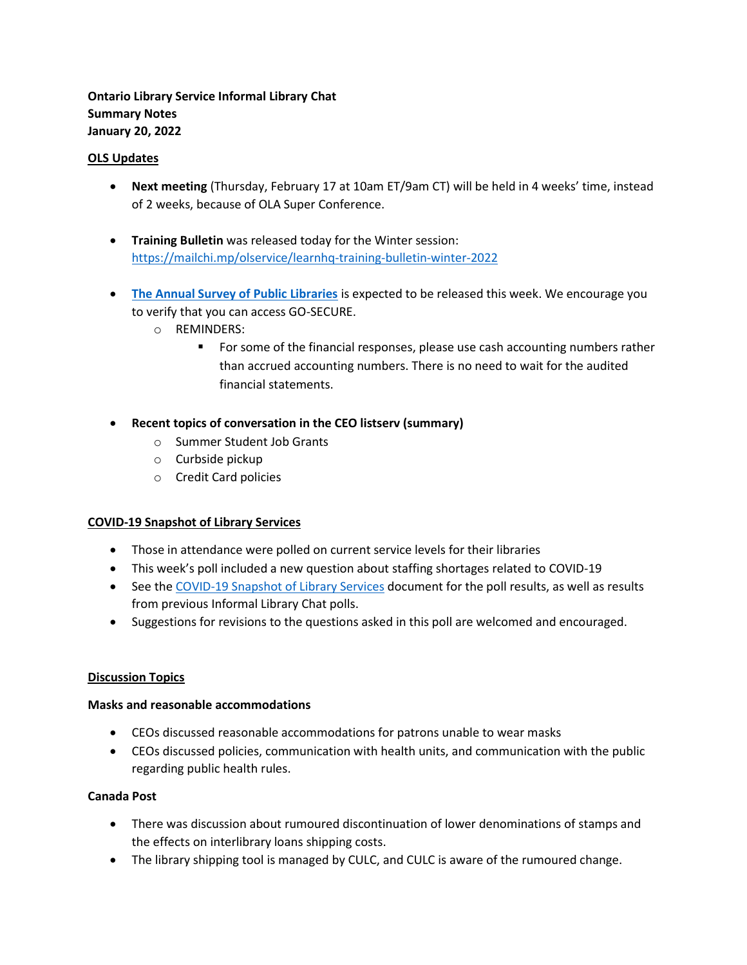**Ontario Library Service Informal Library Chat Summary Notes January 20, 2022** 

#### **OLS Updates**

- **Next meeting** (Thursday, February 17 at 10am ET/9am CT) will be held in 4 weeks' time, instead of 2 weeks, because of OLA Super Conference.
- **Training Bulletin** was released today for the Winter session: <https://mailchi.mp/olservice/learnhq-training-bulletin-winter-2022>
- **[The Annual Survey of Public Libraries](https://olservice.ca/funding-grants/annual-survey)** is expected to be released this week. We encourage you to verify that you can access GO-SECURE.
	- o REMINDERS:
		- **•** For some of the financial responses, please use cash accounting numbers rather than accrued accounting numbers. There is no need to wait for the audited financial statements.
- **Recent topics of conversation in the CEO listserv (summary)**
	- o Summer Student Job Grants
	- o Curbside pickup
	- o Credit Card policies

## **COVID-19 Snapshot of Library Services**

- Those in attendance were polled on current service levels for their libraries
- This week's poll included a new question about staffing shortages related to COVID-19
- See the [COVID-19 Snapshot of Library Services](https://olservice.sharepoint.com/:x:/t/ConsultingMeetings/EVb1lz_ndeZAh4bpU7lrPOQBM5E0VVMNS3TG8iUNFDNORA?e=fh8CKc) document for the poll results, as well as results from previous Informal Library Chat polls.
- Suggestions for revisions to the questions asked in this poll are welcomed and encouraged.

## **Discussion Topics**

#### **Masks and reasonable accommodations**

- CEOs discussed reasonable accommodations for patrons unable to wear masks
- CEOs discussed policies, communication with health units, and communication with the public regarding public health rules.

## **Canada Post**

- There was discussion about rumoured discontinuation of lower denominations of stamps and the effects on interlibrary loans shipping costs.
- The library shipping tool is managed by CULC, and CULC is aware of the rumoured change.